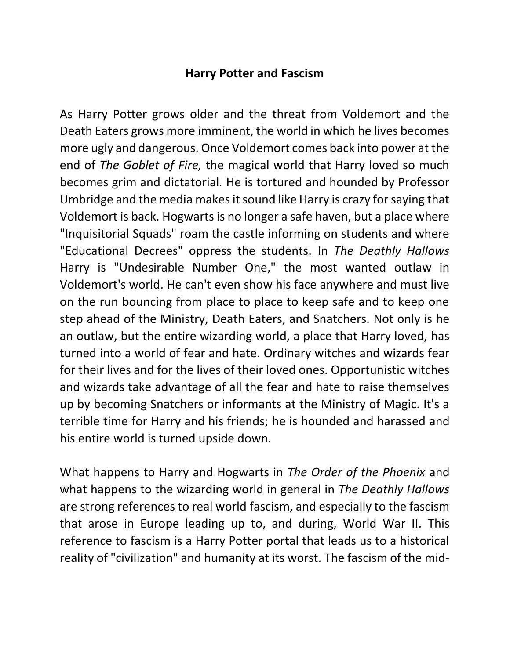#### **Harry Potter and Fascism**

As Harry Potter grows older and the threat from Voldemort and the Death Eaters grows more imminent, the world in which he lives becomes more ugly and dangerous. Once Voldemort comes back into power at the end of *The Goblet of Fire,* the magical world that Harry loved so much becomes grim and dictatorial*.* He is tortured and hounded by Professor Umbridge and the media makes it sound like Harry is crazy for saying that Voldemort is back. Hogwarts is no longer a safe haven, but a place where "Inquisitorial Squads" roam the castle informing on students and where "Educational Decrees" oppress the students. In *The Deathly Hallows* Harry is "Undesirable Number One," the most wanted outlaw in Voldemort's world. He can't even show his face anywhere and must live on the run bouncing from place to place to keep safe and to keep one step ahead of the Ministry, Death Eaters, and Snatchers. Not only is he an outlaw, but the entire wizarding world, a place that Harry loved, has turned into a world of fear and hate. Ordinary witches and wizards fear for their lives and for the lives of their loved ones. Opportunistic witches and wizards take advantage of all the fear and hate to raise themselves up by becoming Snatchers or informants at the Ministry of Magic. It's a terrible time for Harry and his friends; he is hounded and harassed and his entire world is turned upside down.

What happens to Harry and Hogwarts in *The Order of the Phoenix* and what happens to the wizarding world in general in *The Deathly Hallows* are strong references to real world fascism, and especially to the fascism that arose in Europe leading up to, and during, World War II. This reference to fascism is a Harry Potter portal that leads us to a historical reality of "civilization" and humanity at its worst. The fascism of the mid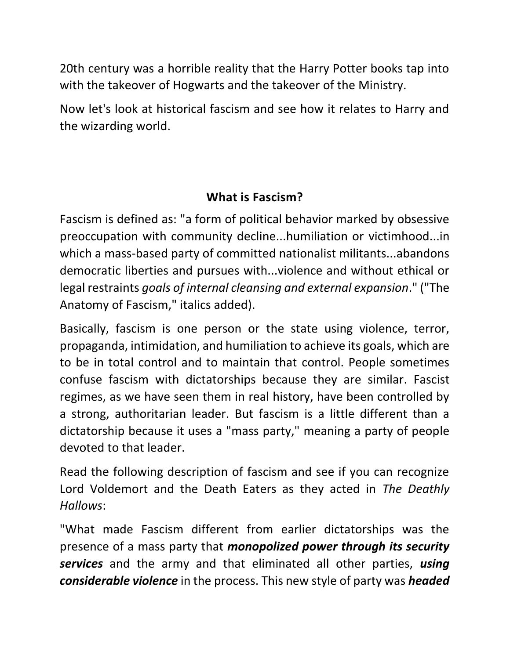20th century was a horrible reality that the Harry Potter books tap into with the takeover of Hogwarts and the takeover of the Ministry.

Now let's look at historical fascism and see how it relates to Harry and the wizarding world.

# **What is Fascism?**

Fascism is defined as: "a form of political behavior marked by obsessive preoccupation with community decline...humiliation or victimhood...in which a mass-based party of committed nationalist militants...abandons democratic liberties and pursues with...violence and without ethical or legal restraints *goals of internal cleansing and external expansion*." ("The Anatomy of Fascism," italics added).

Basically, fascism is one person or the state using violence, terror, propaganda, intimidation, and humiliation to achieve its goals, which are to be in total control and to maintain that control. People sometimes confuse fascism with dictatorships because they are similar. Fascist regimes, as we have seen them in real history, have been controlled by a strong, authoritarian leader. But fascism is a little different than a dictatorship because it uses a "mass party," meaning a party of people devoted to that leader.

Read the following description of fascism and see if you can recognize Lord Voldemort and the Death Eaters as they acted in *The Deathly Hallows*:

"What made Fascism different from earlier dictatorships was the presence of a mass party that *monopolized power through its security services* and the army and that eliminated all other parties, *using considerable violence* in the process. This new style of party was *headed*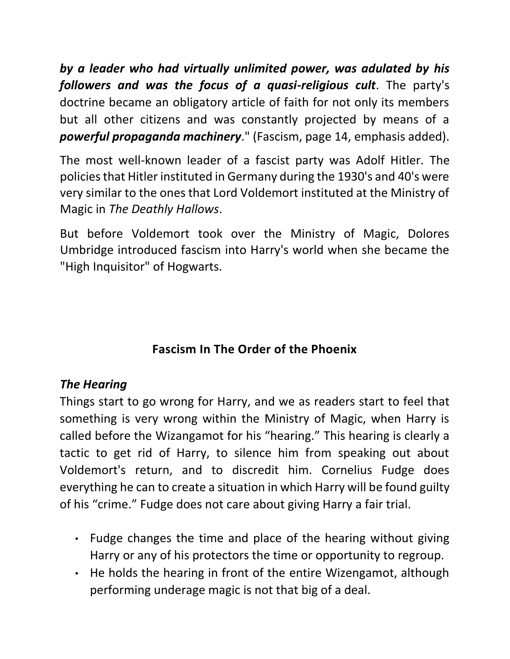*by a leader who had virtually unlimited power, was adulated by his followers and was the focus of a quasi-religious cult*. The party's doctrine became an obligatory article of faith for not only its members but all other citizens and was constantly projected by means of a *powerful propaganda machinery*." (Fascism, page 14, emphasis added).

The most well-known leader of a fascist party was Adolf Hitler. The policies that Hitler instituted in Germany during the 1930's and 40's were very similar to the ones that Lord Voldemort instituted at the Ministry of Magic in *The Deathly Hallows*.

But before Voldemort took over the Ministry of Magic, Dolores Umbridge introduced fascism into Harry's world when she became the "High Inquisitor" of Hogwarts.

# **Fascism In The Order of the Phoenix**

# *The Hearing*

Things start to go wrong for Harry, and we as readers start to feel that something is very wrong within the Ministry of Magic, when Harry is called before the Wizangamot for his "hearing." This hearing is clearly a tactic to get rid of Harry, to silence him from speaking out about Voldemort's return, and to discredit him. Cornelius Fudge does everything he can to create a situation in which Harry will be found guilty of his "crime." Fudge does not care about giving Harry a fair trial.

- Fudge changes the time and place of the hearing without giving Harry or any of his protectors the time or opportunity to regroup.
- He holds the hearing in front of the entire Wizengamot, although performing underage magic is not that big of a deal.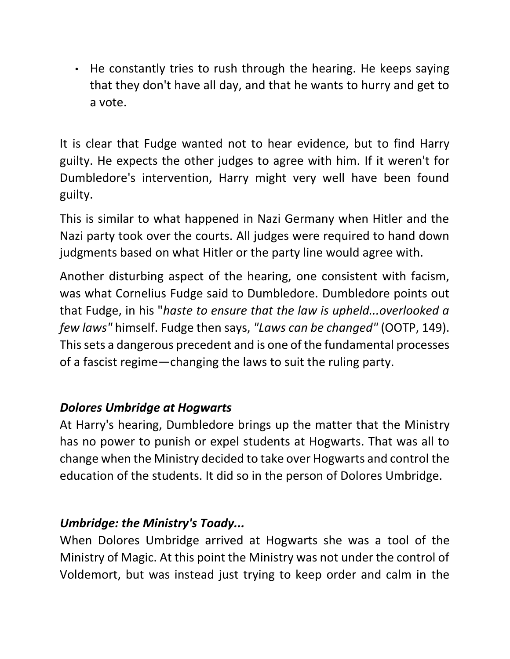• He constantly tries to rush through the hearing. He keeps saying that they don't have all day, and that he wants to hurry and get to a vote.

It is clear that Fudge wanted not to hear evidence, but to find Harry guilty. He expects the other judges to agree with him. If it weren't for Dumbledore's intervention, Harry might very well have been found guilty.

This is similar to what happened in Nazi Germany when Hitler and the Nazi party took over the courts. All judges were required to hand down judgments based on what Hitler or the party line would agree with.

Another disturbing aspect of the hearing, one consistent with facism, was what Cornelius Fudge said to Dumbledore. Dumbledore points out that Fudge, in his "*haste to ensure that the law is upheld...overlooked a few laws"* himself. Fudge then says, *"Laws can be changed"* (OOTP, 149). This sets a dangerous precedent and is one of the fundamental processes of a fascist regime—changing the laws to suit the ruling party.

### *Dolores Umbridge at Hogwarts*

At Harry's hearing, Dumbledore brings up the matter that the Ministry has no power to punish or expel students at Hogwarts. That was all to change when the Ministry decided to take over Hogwarts and control the education of the students. It did so in the person of Dolores Umbridge.

# *Umbridge: the Ministry's Toady...*

When Dolores Umbridge arrived at Hogwarts she was a tool of the Ministry of Magic. At this point the Ministry was not under the control of Voldemort, but was instead just trying to keep order and calm in the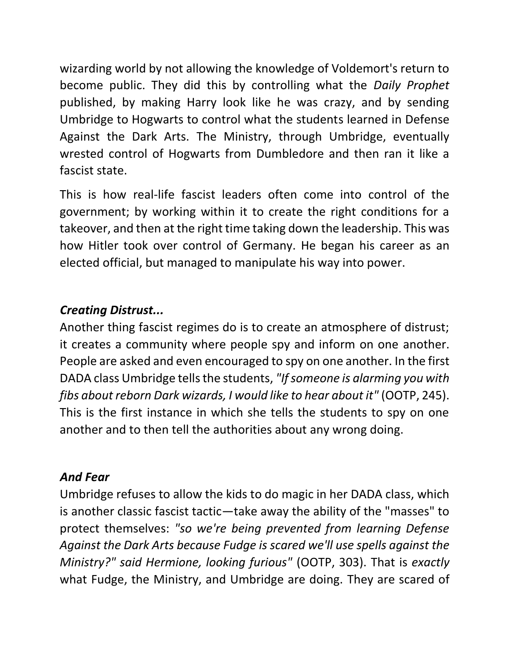wizarding world by not allowing the knowledge of Voldemort's return to become public. They did this by controlling what the *Daily Prophet* published, by making Harry look like he was crazy, and by sending Umbridge to Hogwarts to control what the students learned in Defense Against the Dark Arts. The Ministry, through Umbridge, eventually wrested control of Hogwarts from Dumbledore and then ran it like a fascist state.

This is how real-life fascist leaders often come into control of the government; by working within it to create the right conditions for a takeover, and then at the right time taking down the leadership. This was how Hitler took over control of Germany. He began his career as an elected official, but managed to manipulate his way into power.

# *Creating Distrust...*

Another thing fascist regimes do is to create an atmosphere of distrust; it creates a community where people spy and inform on one another. People are asked and even encouraged to spy on one another. In the first DADA class Umbridge tells the students, *"If someone is alarming you with fibs about reborn Dark wizards, I would like to hear about it"* (OOTP, 245). This is the first instance in which she tells the students to spy on one another and to then tell the authorities about any wrong doing.

### *And Fear*

Umbridge refuses to allow the kids to do magic in her DADA class, which is another classic fascist tactic—take away the ability of the "masses" to protect themselves: *"so we're being prevented from learning Defense Against the Dark Arts because Fudge is scared we'll use spells against the Ministry?" said Hermione, looking furious"* (OOTP, 303). That is *exactly* what Fudge, the Ministry, and Umbridge are doing. They are scared of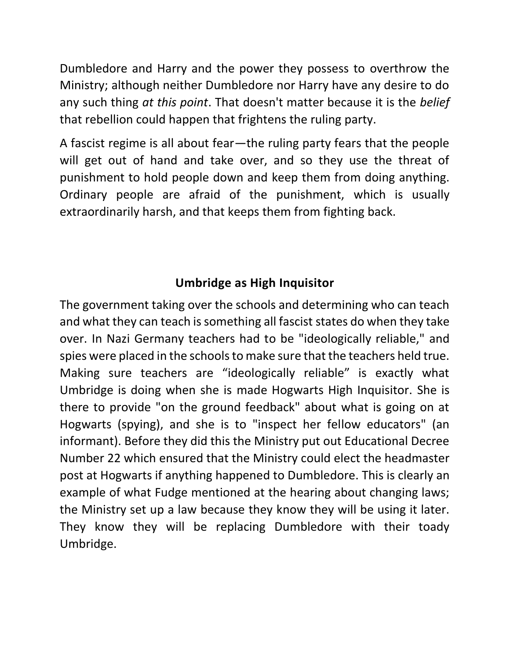Dumbledore and Harry and the power they possess to overthrow the Ministry; although neither Dumbledore nor Harry have any desire to do any such thing *at this point*. That doesn't matter because it is the *belief* that rebellion could happen that frightens the ruling party.

A fascist regime is all about fear—the ruling party fears that the people will get out of hand and take over, and so they use the threat of punishment to hold people down and keep them from doing anything. Ordinary people are afraid of the punishment, which is usually extraordinarily harsh, and that keeps them from fighting back.

# **Umbridge as High Inquisitor**

The government taking over the schools and determining who can teach and what they can teach is something all fascist states do when they take over. In Nazi Germany teachers had to be "ideologically reliable," and spies were placed in the schools to make sure that the teachers held true. Making sure teachers are "ideologically reliable" is exactly what Umbridge is doing when she is made Hogwarts High Inquisitor. She is there to provide "on the ground feedback" about what is going on at Hogwarts (spying), and she is to "inspect her fellow educators" (an informant). Before they did this the Ministry put out Educational Decree Number 22 which ensured that the Ministry could elect the headmaster post at Hogwarts if anything happened to Dumbledore. This is clearly an example of what Fudge mentioned at the hearing about changing laws; the Ministry set up a law because they know they will be using it later. They know they will be replacing Dumbledore with their toady Umbridge.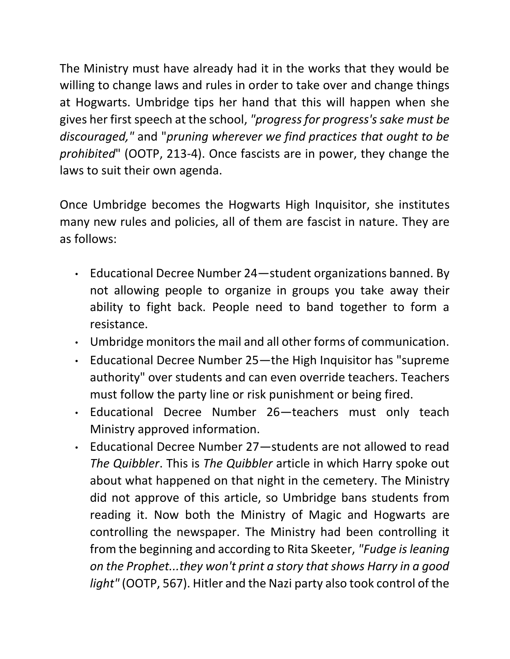The Ministry must have already had it in the works that they would be willing to change laws and rules in order to take over and change things at Hogwarts. Umbridge tips her hand that this will happen when she gives her first speech at the school, *"progress for progress's sake must be discouraged,"* and "*pruning wherever we find practices that ought to be prohibited*" (OOTP, 213-4). Once fascists are in power, they change the laws to suit their own agenda.

Once Umbridge becomes the Hogwarts High Inquisitor, she institutes many new rules and policies, all of them are fascist in nature. They are as follows:

- Educational Decree Number 24—student organizations banned. By not allowing people to organize in groups you take away their ability to fight back. People need to band together to form a resistance.
- Umbridge monitors the mail and all other forms of communication.
- Educational Decree Number 25—the High Inquisitor has "supreme authority" over students and can even override teachers. Teachers must follow the party line or risk punishment or being fired.
- Educational Decree Number 26—teachers must only teach Ministry approved information.
- Educational Decree Number 27—students are not allowed to read *The Quibbler*. This is *The Quibbler* article in which Harry spoke out about what happened on that night in the cemetery. The Ministry did not approve of this article, so Umbridge bans students from reading it. Now both the Ministry of Magic and Hogwarts are controlling the newspaper. The Ministry had been controlling it from the beginning and according to Rita Skeeter, *"Fudge is leaning on the Prophet...they won't print a story that shows Harry in a good light"* (OOTP, 567). Hitler and the Nazi party also took control of the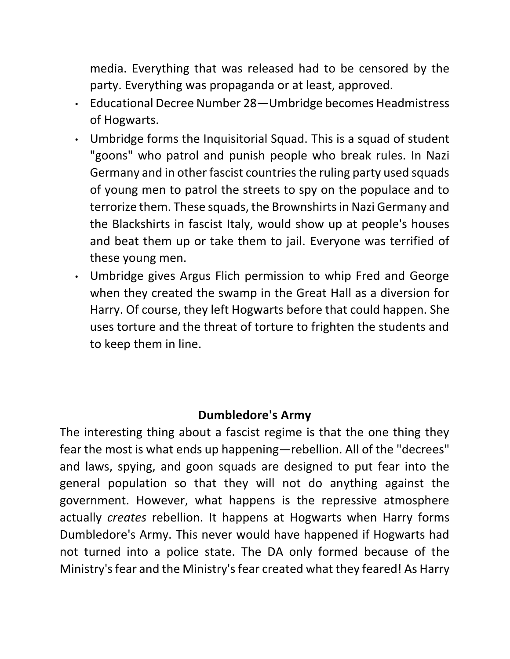media. Everything that was released had to be censored by the party. Everything was propaganda or at least, approved.

- Educational Decree Number 28—Umbridge becomes Headmistress of Hogwarts.
- Umbridge forms the Inquisitorial Squad. This is a squad of student "goons" who patrol and punish people who break rules. In Nazi Germany and in other fascist countries the ruling party used squads of young men to patrol the streets to spy on the populace and to terrorize them. These squads, the Brownshirts in Nazi Germany and the Blackshirts in fascist Italy, would show up at people's houses and beat them up or take them to jail. Everyone was terrified of these young men.
- Umbridge gives Argus Flich permission to whip Fred and George when they created the swamp in the Great Hall as a diversion for Harry. Of course, they left Hogwarts before that could happen. She uses torture and the threat of torture to frighten the students and to keep them in line.

### **Dumbledore's Army**

The interesting thing about a fascist regime is that the one thing they fear the most is what ends up happening—rebellion. All of the "decrees" and laws, spying, and goon squads are designed to put fear into the general population so that they will not do anything against the government. However, what happens is the repressive atmosphere actually *creates* rebellion. It happens at Hogwarts when Harry forms Dumbledore's Army. This never would have happened if Hogwarts had not turned into a police state. The DA only formed because of the Ministry's fear and the Ministry's fear created what they feared! As Harry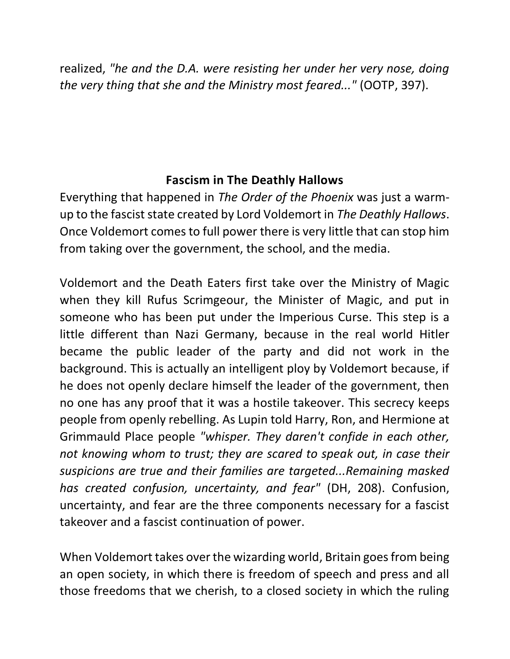realized, *"he and the D.A. were resisting her under her very nose, doing the very thing that she and the Ministry most feared..."* (OOTP, 397).

## **Fascism in The Deathly Hallows**

Everything that happened in *The Order of the Phoenix* was just a warmup to the fascist state created by Lord Voldemort in *The Deathly Hallows*. Once Voldemort comes to full power there is very little that can stop him from taking over the government, the school, and the media.

Voldemort and the Death Eaters first take over the Ministry of Magic when they kill Rufus Scrimgeour, the Minister of Magic, and put in someone who has been put under the Imperious Curse. This step is a little different than Nazi Germany, because in the real world Hitler became the public leader of the party and did not work in the background. This is actually an intelligent ploy by Voldemort because, if he does not openly declare himself the leader of the government, then no one has any proof that it was a hostile takeover. This secrecy keeps people from openly rebelling. As Lupin told Harry, Ron, and Hermione at Grimmauld Place people *"whisper. They daren't confide in each other, not knowing whom to trust; they are scared to speak out, in case their suspicions are true and their families are targeted...Remaining masked has created confusion, uncertainty, and fear"* (DH, 208). Confusion, uncertainty, and fear are the three components necessary for a fascist takeover and a fascist continuation of power.

When Voldemort takes over the wizarding world, Britain goes from being an open society, in which there is freedom of speech and press and all those freedoms that we cherish, to a closed society in which the ruling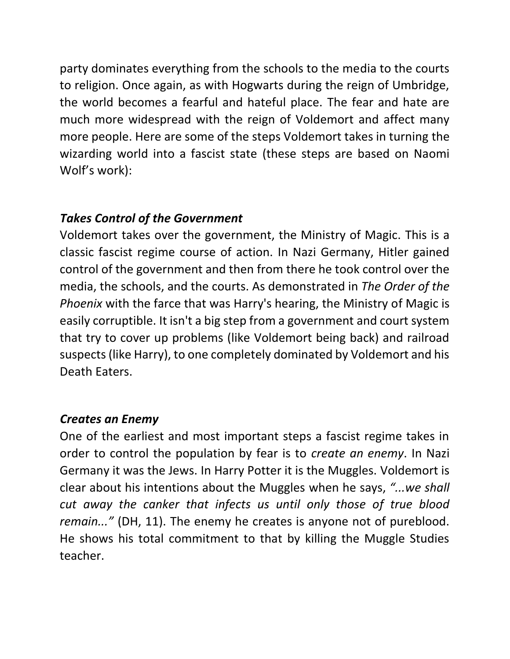party dominates everything from the schools to the media to the courts to religion. Once again, as with Hogwarts during the reign of Umbridge, the world becomes a fearful and hateful place. The fear and hate are much more widespread with the reign of Voldemort and affect many more people. Here are some of the steps Voldemort takes in turning the wizarding world into a fascist state (these steps are based on Naomi Wolf's work):

### *Takes Control of the Government*

Voldemort takes over the government, the Ministry of Magic. This is a classic fascist regime course of action. In Nazi Germany, Hitler gained control of the government and then from there he took control over the media, the schools, and the courts. As demonstrated in *The Order of the Phoenix* with the farce that was Harry's hearing, the Ministry of Magic is easily corruptible. It isn't a big step from a government and court system that try to cover up problems (like Voldemort being back) and railroad suspects (like Harry), to one completely dominated by Voldemort and his Death Eaters.

#### *Creates an Enemy*

One of the earliest and most important steps a fascist regime takes in order to control the population by fear is to *create an enemy*. In Nazi Germany it was the Jews. In Harry Potter it is the Muggles. Voldemort is clear about his intentions about the Muggles when he says, *"...we shall cut away the canker that infects us until only those of true blood remain..."* (DH, 11). The enemy he creates is anyone not of pureblood. He shows his total commitment to that by killing the Muggle Studies teacher.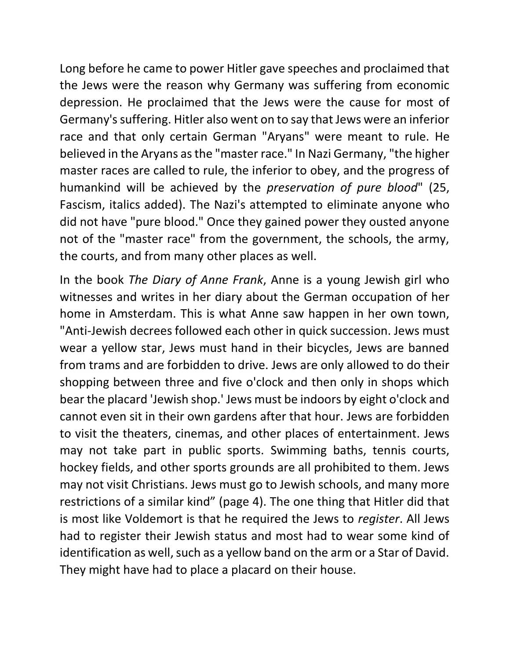Long before he came to power Hitler gave speeches and proclaimed that the Jews were the reason why Germany was suffering from economic depression. He proclaimed that the Jews were the cause for most of Germany's suffering. Hitler also went on to say that Jews were an inferior race and that only certain German "Aryans" were meant to rule. He believed in the Aryans as the "master race." In Nazi Germany, "the higher master races are called to rule, the inferior to obey, and the progress of humankind will be achieved by the *preservation of pure blood*" (25, Fascism, italics added). The Nazi's attempted to eliminate anyone who did not have "pure blood." Once they gained power they ousted anyone not of the "master race" from the government, the schools, the army, the courts, and from many other places as well.

In the book *The Diary of Anne Frank*, Anne is a young Jewish girl who witnesses and writes in her diary about the German occupation of her home in Amsterdam. This is what Anne saw happen in her own town, "Anti-Jewish decrees followed each other in quick succession. Jews must wear a yellow star, Jews must hand in their bicycles, Jews are banned from trams and are forbidden to drive. Jews are only allowed to do their shopping between three and five o'clock and then only in shops which bear the placard 'Jewish shop.' Jews must be indoors by eight o'clock and cannot even sit in their own gardens after that hour. Jews are forbidden to visit the theaters, cinemas, and other places of entertainment. Jews may not take part in public sports. Swimming baths, tennis courts, hockey fields, and other sports grounds are all prohibited to them. Jews may not visit Christians. Jews must go to Jewish schools, and many more restrictions of a similar kind" (page 4). The one thing that Hitler did that is most like Voldemort is that he required the Jews to *register*. All Jews had to register their Jewish status and most had to wear some kind of identification as well, such as a yellow band on the arm or a Star of David. They might have had to place a placard on their house.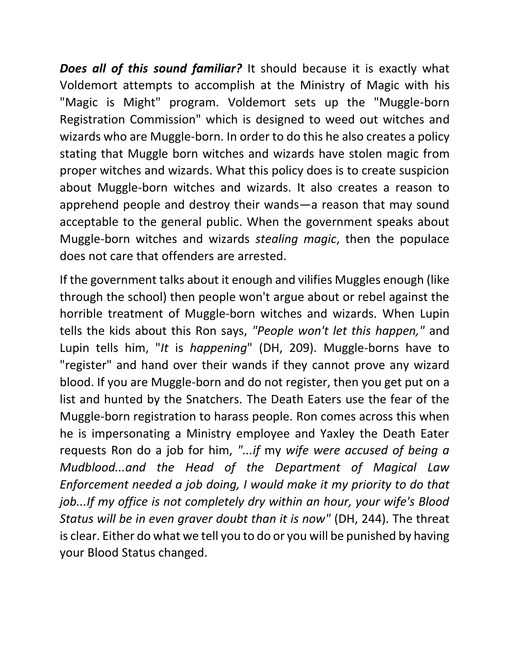*Does all of this sound familiar?* It should because it is exactly what Voldemort attempts to accomplish at the Ministry of Magic with his "Magic is Might" program. Voldemort sets up the "Muggle-born Registration Commission" which is designed to weed out witches and wizards who are Muggle-born. In order to do this he also creates a policy stating that Muggle born witches and wizards have stolen magic from proper witches and wizards. What this policy does is to create suspicion about Muggle-born witches and wizards. It also creates a reason to apprehend people and destroy their wands—a reason that may sound acceptable to the general public. When the government speaks about Muggle-born witches and wizards *stealing magic*, then the populace does not care that offenders are arrested.

If the government talks about it enough and vilifies Muggles enough (like through the school) then people won't argue about or rebel against the horrible treatment of Muggle-born witches and wizards. When Lupin tells the kids about this Ron says, *"People won't let this happen,"* and Lupin tells him, "*It* is *happening*" (DH, 209). Muggle-borns have to "register" and hand over their wands if they cannot prove any wizard blood. If you are Muggle-born and do not register, then you get put on a list and hunted by the Snatchers. The Death Eaters use the fear of the Muggle-born registration to harass people. Ron comes across this when he is impersonating a Ministry employee and Yaxley the Death Eater requests Ron do a job for him, *"...if* my *wife were accused of being a Mudblood...and the Head of the Department of Magical Law Enforcement needed a job doing, I would make it my priority to do that job...If my office is not completely dry within an hour, your wife's Blood Status will be in even graver doubt than it is now"* (DH, 244). The threat is clear. Either do what we tell you to do or you will be punished by having your Blood Status changed.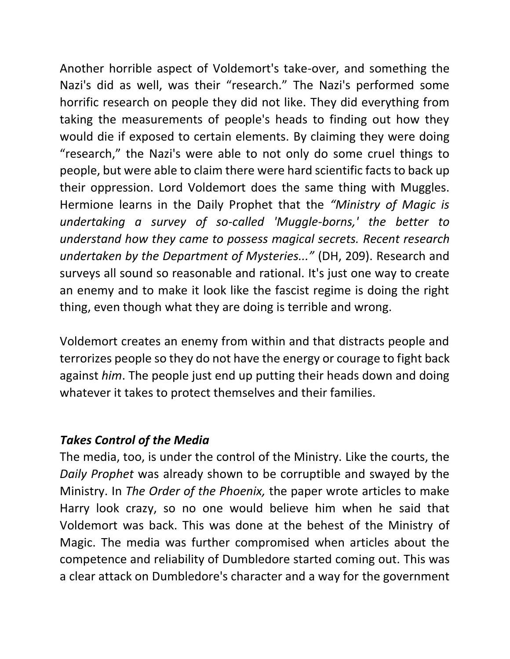Another horrible aspect of Voldemort's take-over, and something the Nazi's did as well, was their "research." The Nazi's performed some horrific research on people they did not like. They did everything from taking the measurements of people's heads to finding out how they would die if exposed to certain elements. By claiming they were doing "research," the Nazi's were able to not only do some cruel things to people, but were able to claim there were hard scientific facts to back up their oppression. Lord Voldemort does the same thing with Muggles. Hermione learns in the Daily Prophet that the *"Ministry of Magic is undertaking a survey of so-called 'Muggle-borns,' the better to understand how they came to possess magical secrets. Recent research undertaken by the Department of Mysteries..."* (DH, 209). Research and surveys all sound so reasonable and rational. It's just one way to create an enemy and to make it look like the fascist regime is doing the right thing, even though what they are doing is terrible and wrong.

Voldemort creates an enemy from within and that distracts people and terrorizes people so they do not have the energy or courage to fight back against *him*. The people just end up putting their heads down and doing whatever it takes to protect themselves and their families.

#### *Takes Control of the Media*

The media, too, is under the control of the Ministry. Like the courts, the *Daily Prophet* was already shown to be corruptible and swayed by the Ministry. In *The Order of the Phoenix,* the paper wrote articles to make Harry look crazy, so no one would believe him when he said that Voldemort was back. This was done at the behest of the Ministry of Magic. The media was further compromised when articles about the competence and reliability of Dumbledore started coming out. This was a clear attack on Dumbledore's character and a way for the government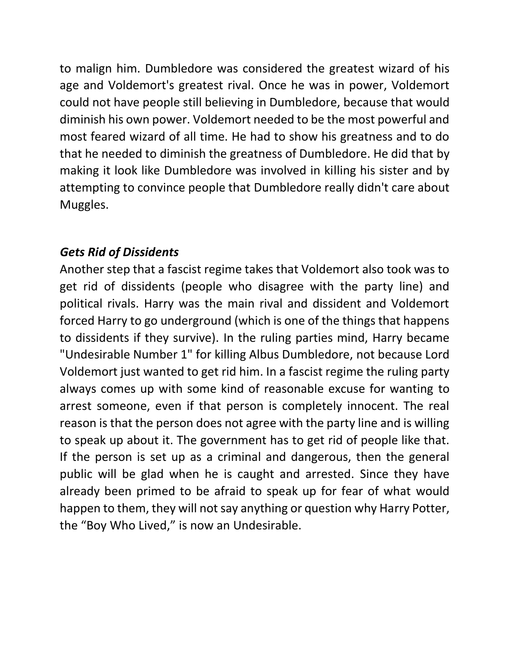to malign him. Dumbledore was considered the greatest wizard of his age and Voldemort's greatest rival. Once he was in power, Voldemort could not have people still believing in Dumbledore, because that would diminish his own power. Voldemort needed to be the most powerful and most feared wizard of all time. He had to show his greatness and to do that he needed to diminish the greatness of Dumbledore. He did that by making it look like Dumbledore was involved in killing his sister and by attempting to convince people that Dumbledore really didn't care about Muggles.

#### *Gets Rid of Dissidents*

Another step that a fascist regime takes that Voldemort also took was to get rid of dissidents (people who disagree with the party line) and political rivals. Harry was the main rival and dissident and Voldemort forced Harry to go underground (which is one of the things that happens to dissidents if they survive). In the ruling parties mind, Harry became "Undesirable Number 1" for killing Albus Dumbledore, not because Lord Voldemort just wanted to get rid him. In a fascist regime the ruling party always comes up with some kind of reasonable excuse for wanting to arrest someone, even if that person is completely innocent. The real reason is that the person does not agree with the party line and is willing to speak up about it. The government has to get rid of people like that. If the person is set up as a criminal and dangerous, then the general public will be glad when he is caught and arrested. Since they have already been primed to be afraid to speak up for fear of what would happen to them, they will not say anything or question why Harry Potter, the "Boy Who Lived," is now an Undesirable.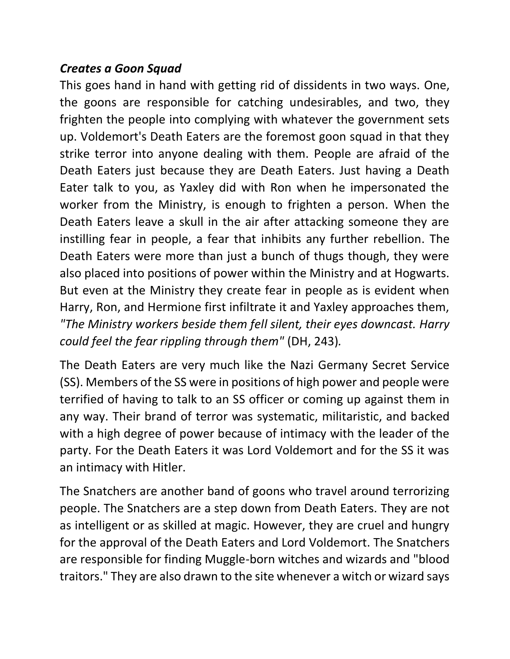### *Creates a Goon Squad*

This goes hand in hand with getting rid of dissidents in two ways. One, the goons are responsible for catching undesirables, and two, they frighten the people into complying with whatever the government sets up. Voldemort's Death Eaters are the foremost goon squad in that they strike terror into anyone dealing with them. People are afraid of the Death Eaters just because they are Death Eaters. Just having a Death Eater talk to you, as Yaxley did with Ron when he impersonated the worker from the Ministry, is enough to frighten a person. When the Death Eaters leave a skull in the air after attacking someone they are instilling fear in people, a fear that inhibits any further rebellion. The Death Eaters were more than just a bunch of thugs though, they were also placed into positions of power within the Ministry and at Hogwarts. But even at the Ministry they create fear in people as is evident when Harry, Ron, and Hermione first infiltrate it and Yaxley approaches them, *"The Ministry workers beside them fell silent, their eyes downcast. Harry could feel the fear rippling through them"* (DH, 243)*.*

The Death Eaters are very much like the Nazi Germany Secret Service (SS). Members of the SS were in positions of high power and people were terrified of having to talk to an SS officer or coming up against them in any way. Their brand of terror was systematic, militaristic, and backed with a high degree of power because of intimacy with the leader of the party. For the Death Eaters it was Lord Voldemort and for the SS it was an intimacy with Hitler.

The Snatchers are another band of goons who travel around terrorizing people. The Snatchers are a step down from Death Eaters. They are not as intelligent or as skilled at magic. However, they are cruel and hungry for the approval of the Death Eaters and Lord Voldemort. The Snatchers are responsible for finding Muggle-born witches and wizards and "blood traitors." They are also drawn to the site whenever a witch or wizard says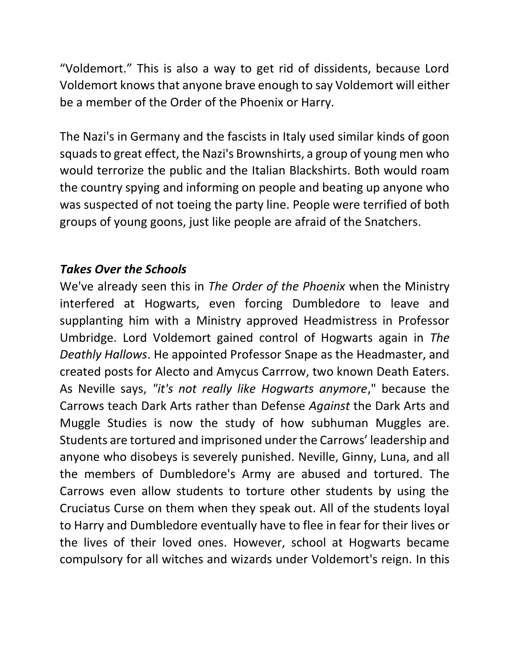"Voldemort." This is also a way to get rid of dissidents, because Lord Voldemort knows that anyone brave enough to say Voldemort will either be a member of the Order of the Phoenix or Harry.

The Nazi's in Germany and the fascists in Italy used similar kinds of goon squads to great effect, the Nazi's Brownshirts, a group of young men who would terrorize the public and the Italian Blackshirts. Both would roam the country spying and informing on people and beating up anyone who was suspected of not toeing the party line. People were terrified of both groups of young goons, just like people are afraid of the Snatchers.

## *Takes Over the Schools*

We've already seen this in *The Order of the Phoenix* when the Ministry interfered at Hogwarts, even forcing Dumbledore to leave and supplanting him with a Ministry approved Headmistress in Professor Umbridge. Lord Voldemort gained control of Hogwarts again in *The Deathly Hallows*. He appointed Professor Snape as the Headmaster, and created posts for Alecto and Amycus Carrrow, two known Death Eaters. As Neville says, *"it's not really like Hogwarts anymore*," because the Carrows teach Dark Arts rather than Defense *Against* the Dark Arts and Muggle Studies is now the study of how subhuman Muggles are. Students are tortured and imprisoned under the Carrows' leadership and anyone who disobeys is severely punished. Neville, Ginny, Luna, and all the members of Dumbledore's Army are abused and tortured. The Carrows even allow students to torture other students by using the Cruciatus Curse on them when they speak out. All of the students loyal to Harry and Dumbledore eventually have to flee in fear for their lives or the lives of their loved ones. However, school at Hogwarts became compulsory for all witches and wizards under Voldemort's reign. In this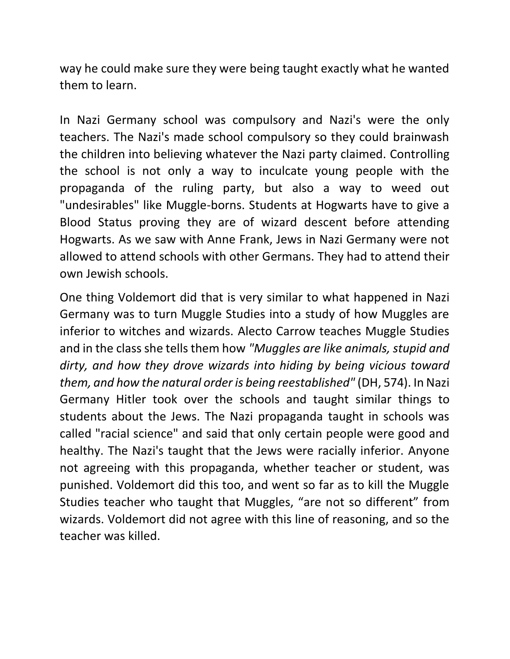way he could make sure they were being taught exactly what he wanted them to learn.

In Nazi Germany school was compulsory and Nazi's were the only teachers. The Nazi's made school compulsory so they could brainwash the children into believing whatever the Nazi party claimed. Controlling the school is not only a way to inculcate young people with the propaganda of the ruling party, but also a way to weed out "undesirables" like Muggle-borns. Students at Hogwarts have to give a Blood Status proving they are of wizard descent before attending Hogwarts. As we saw with Anne Frank, Jews in Nazi Germany were not allowed to attend schools with other Germans. They had to attend their own Jewish schools.

One thing Voldemort did that is very similar to what happened in Nazi Germany was to turn Muggle Studies into a study of how Muggles are inferior to witches and wizards. Alecto Carrow teaches Muggle Studies and in the class she tells them how *"Muggles are like animals, stupid and dirty, and how they drove wizards into hiding by being vicious toward them, and how the natural order is being reestablished"* (DH, 574). In Nazi Germany Hitler took over the schools and taught similar things to students about the Jews. The Nazi propaganda taught in schools was called "racial science" and said that only certain people were good and healthy. The Nazi's taught that the Jews were racially inferior. Anyone not agreeing with this propaganda, whether teacher or student, was punished. Voldemort did this too, and went so far as to kill the Muggle Studies teacher who taught that Muggles, "are not so different" from wizards. Voldemort did not agree with this line of reasoning, and so the teacher was killed.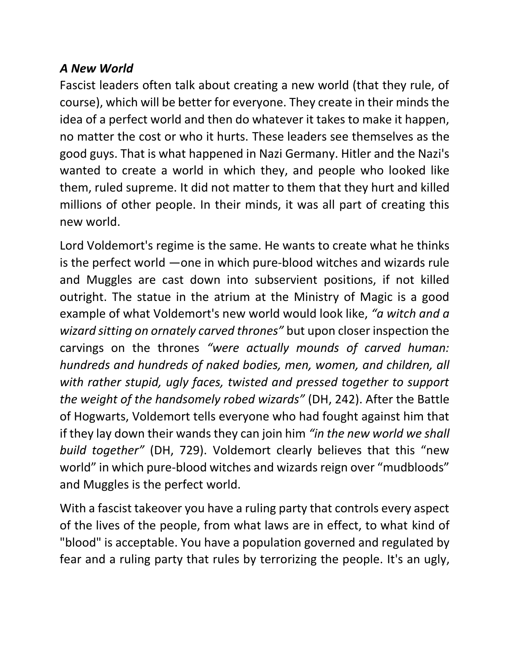## *A New World*

Fascist leaders often talk about creating a new world (that they rule, of course), which will be better for everyone. They create in their minds the idea of a perfect world and then do whatever it takes to make it happen, no matter the cost or who it hurts. These leaders see themselves as the good guys. That is what happened in Nazi Germany. Hitler and the Nazi's wanted to create a world in which they, and people who looked like them, ruled supreme. It did not matter to them that they hurt and killed millions of other people. In their minds, it was all part of creating this new world.

Lord Voldemort's regime is the same. He wants to create what he thinks is the perfect world —one in which pure-blood witches and wizards rule and Muggles are cast down into subservient positions, if not killed outright. The statue in the atrium at the Ministry of Magic is a good example of what Voldemort's new world would look like, *"a witch and a wizard sitting on ornately carved thrones"* but upon closer inspection the carvings on the thrones *"were actually mounds of carved human: hundreds and hundreds of naked bodies, men, women, and children, all with rather stupid, ugly faces, twisted and pressed together to support the weight of the handsomely robed wizards"* (DH, 242). After the Battle of Hogwarts, Voldemort tells everyone who had fought against him that if they lay down their wands they can join him *"in the new world we shall build together"* (DH, 729). Voldemort clearly believes that this "new world" in which pure-blood witches and wizards reign over "mudbloods" and Muggles is the perfect world.

With a fascist takeover you have a ruling party that controls every aspect of the lives of the people, from what laws are in effect, to what kind of "blood" is acceptable. You have a population governed and regulated by fear and a ruling party that rules by terrorizing the people. It's an ugly,